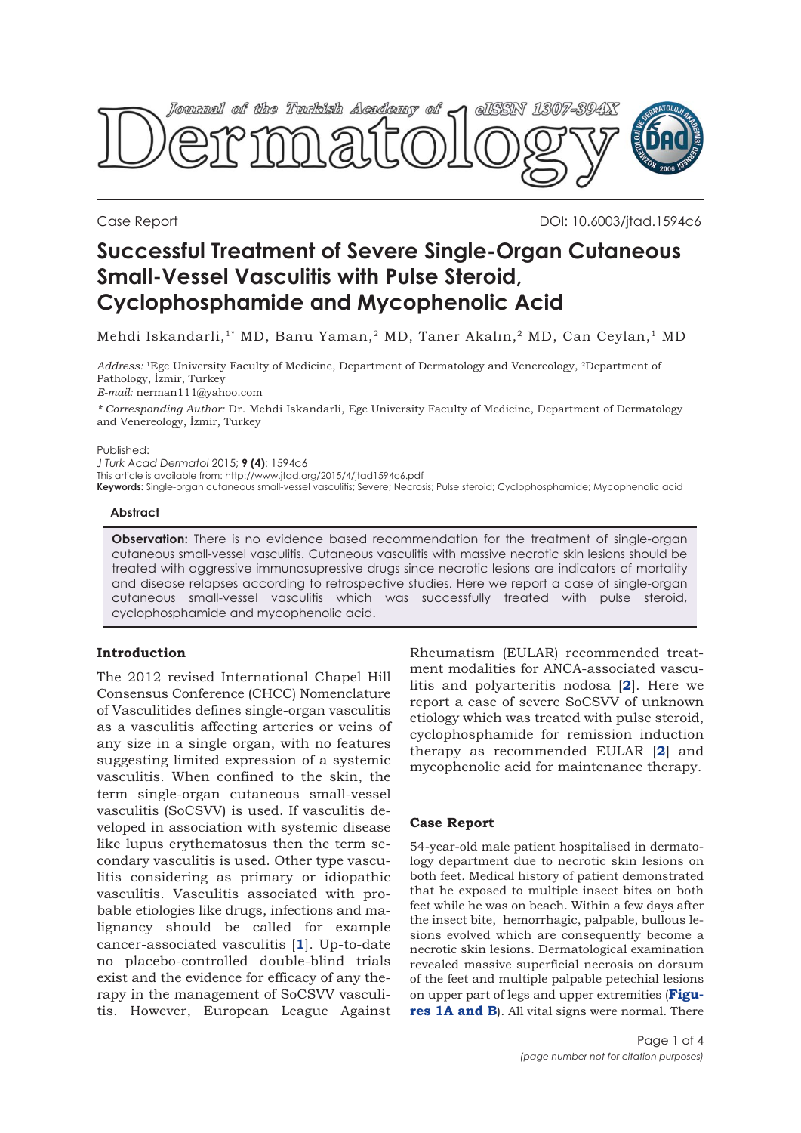

Case Report DOI: 10.6003/jtad.1594c6

# **Successful Treatment of Severe Single-Organ Cutaneous Small-Vessel Vasculitis with Pulse Steroid, Cyclophosphamide and Mycophenolic Acid**

Mehdi Iskandarli,<sup>1\*</sup> MD, Banu Yaman,<sup>2</sup> MD, Taner Akalın,<sup>2</sup> MD, Can Ceylan,<sup>1</sup> MD

*Address:* 1Ege University Faculty of Medicine, Department of Dermatology and Venereology, 2Department of Pathology, İzmir, Turkey

*E-mail:* nerman111@yahoo.com

*\* Corresponding Author:* Dr. Mehdi Iskandarli, Ege University Faculty of Medicine, Department of Dermatology and Venereology, İzmir, Turkey

#### Published:

*J Turk Acad Dermatol* 2015; **9 (4)**: 1594c6 This article is available from: http://www.jtad.org/2015/4/jtad1594c6.pdf **Keywords:** Single-organ cutaneous small-vessel vasculitis; Severe; Necrosis; Pulse steroid; Cyclophosphamide; Mycophenolic acid

#### **Abstract**

**Observation:** There is no evidence based recommendation for the treatment of single-organ cutaneous small-vessel vasculitis. Cutaneous vasculitis with massive necrotic skin lesions should be treated with aggressive immunosupressive drugs since necrotic lesions are indicators of mortality and disease relapses according to retrospective studies. Here we report a case of single-organ cutaneous small-vessel vasculitis which was successfully treated with pulse steroid, cyclophosphamide and mycophenolic acid.

# **Introduction**

The 2012 revised International Chapel Hill Consensus Conference (CHCC) Nomenclature of Vasculitides defines single-organ vasculitis as a vasculitis affecting arteries or veins of any size in a single organ, with no features suggesting limited expression of a systemic vasculitis. When confined to the skin, the term single-organ cutaneous small-vessel vasculitis (SoCSVV) is used. If vasculitis developed in association with systemic disease like lupus erythematosus then the term secondary vasculitis is used. Other type vasculitis considering as primary or idiopathic vasculitis. Vasculitis associated with probable etiologies like drugs, infections and malignancy should be called for example cancer-associated vasculitis [**[1](#page-3-0)**]. Up-to-date no placebo-controlled double-blind trials exist and the evidence for efficacy of any therapy in the management of SoCSVV vasculitis. However, European League Against

Rheumatism (EULAR) recommended treatment modalities for ANCA-associated vasculitis and polyarteritis nodosa [**[2](#page-2-0)**]. Here we report a case of severe SoCSVV of unknown etiology which was treated with pulse steroid, cyclophosphamide for remission induction therapy as recommended EULAR [**[2](#page-3-0)**] and mycophenolic acid for maintenance therapy.

# **Case Report**

54-year-old male patient hospitalised in dermatology department due to necrotic skin lesions on both feet. Medical history of patient demonstrated that he exposed to multiple insect bites on both feet while he was on beach. Within a few days after the insect bite, hemorrhagic, palpable, bullous lesions evolved which are consequently become a necrotic skin lesions. Dermatological examination revealed massive superficial necrosis on dorsum of the feet and multiple palpable petechial lesions [on upper part of legs and upper extremities \(](#page-1-0)**Figures 1A and B**). All vital signs were normal. There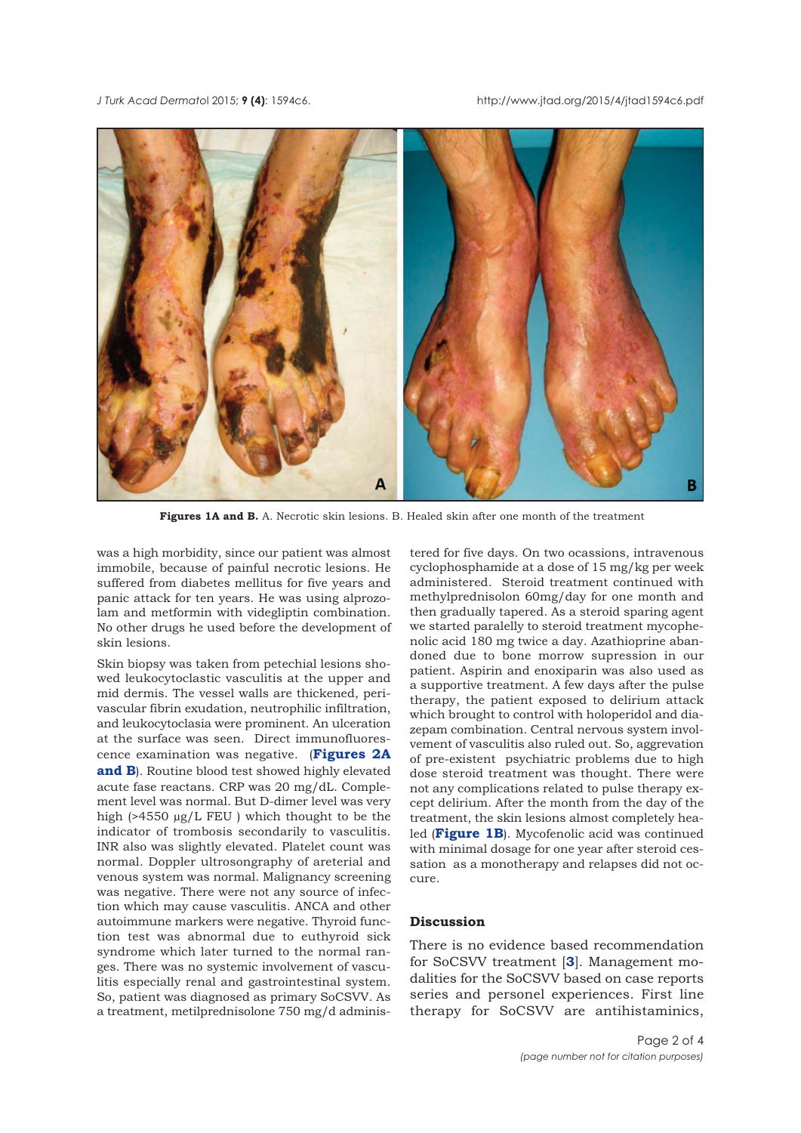<span id="page-1-0"></span>



**Figures 1A and B.** A. Necrotic skin lesions. B. Healed skin after one month of the treatment

was a high morbidity, since our patient was almost immobile, because of painful necrotic lesions. He suffered from diabetes mellitus for five years and panic attack for ten years. He was using alprozolam and metformin with videgliptin combination. No other drugs he used before the development of skin lesions.

Skin biopsy was taken from petechial lesions showed leukocytoclastic vasculitis at the upper and mid dermis. The vessel walls are thickened, perivascular fibrin exudation, neutrophilic infiltration, and leukocytoclasia were prominent. An ulceration at the surface was seen. Direct immunofluorescence examination was negative. (**[Figures 2A](#page-2-0) and B**[\). Routine blood test showed highly elevated](#page-2-0) acute fase reactans. CRP was 20 mg/dL. Complement level was normal. But D-dimer level was very high (>4550 µg/L FEU ) which thought to be the indicator of trombosis secondarily to vasculitis. INR also was slightly elevated. Platelet count was normal. Doppler ultrosongraphy of areterial and venous system was normal. Malignancy screening was negative. There were not any source of infection which may cause vasculitis. ANCA and other autoimmune markers were negative. Thyroid function test was abnormal due to euthyroid sick syndrome which later turned to the normal ranges. There was no systemic involvement of vasculitis especially renal and gastrointestinal system. So, patient was diagnosed as primary SoCSVV. As a treatment, metilprednisolone 750 mg/d adminis-

tered for five days. On two ocassions, intravenous cyclophosphamide at a dose of 15 mg/kg per week administered. Steroid treatment continued with methylprednisolon 60mg/day for one month and then gradually tapered. As a steroid sparing agent we started paralelly to steroid treatment mycophenolic acid 180 mg twice a day. Azathioprine abandoned due to bone morrow supression in our patient. Aspirin and enoxiparin was also used as a supportive treatment. A few days after the pulse therapy, the patient exposed to delirium attack which brought to control with holoperidol and diazepam combination. Central nervous system involvement of vasculitis also ruled out. So, aggrevation of pre-existent psychiatric problems due to high dose steroid treatment was thought. There were not any complications related to pulse therapy except delirium. After the month from the day of the treatment, the skin lesions almost completely healed (**Figure 1B**). Mycofenolic acid was continued with minimal dosage for one year after steroid cessation as a monotherapy and relapses did not occure.

# **Discussion**

There is no evidence based recommendation for SoCSVV treatment [**[3](#page-3-0)**]. Management modalities for the SoCSVV based on case reports series and personel experiences. First line therapy for SoCSVV are antihistaminics,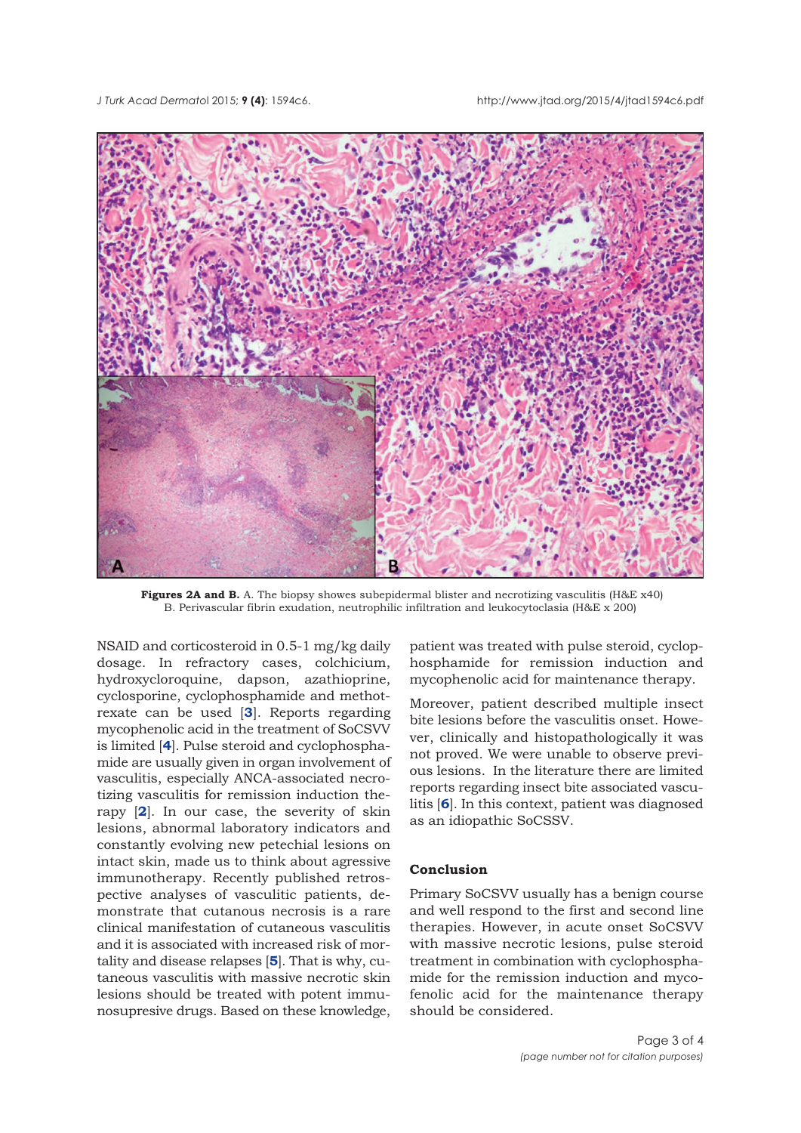<span id="page-2-0"></span>

**Figures 2A and B.** A. The biopsy showes subepidermal blister and necrotizing vasculitis (H&E x40) B. Perivascular fibrin exudation, neutrophilic infiltration and leukocytoclasia (H&E x 200)

NSAID and corticosteroid in 0.5-1 mg/kg daily dosage. In refractory cases, colchicium, hydroxycloroquine, dapson, azathioprine, cyclosporine, cyclophosphamide and methotrexate can be used [**[3](#page-3-0)**]. Reports regarding mycophenolic acid in the treatment of SoCSVV is limited [**[4](#page-3-0)**]. Pulse steroid and cyclophosphamide are usually given in organ involvement of vasculitis, especially ANCA-associated necrotizing vasculitis for remission induction therapy [**[2](#page-3-0)**]. In our case, the severity of skin lesions, abnormal laboratory indicators and constantly evolving new petechial lesions on intact skin, made us to think about agressive immunotherapy. Recently published retrospective analyses of vasculitic patients, demonstrate that cutanous necrosis is a rare clinical manifestation of cutaneous vasculitis and it is associated with increased risk of mortality and disease relapses [**[5](#page-3-0)**]. That is why, cutaneous vasculitis with massive necrotic skin lesions should be treated with potent immunosupresive drugs. Based on these knowledge,

patient was treated with pulse steroid, cyclophosphamide for remission induction and mycophenolic acid for maintenance therapy.

Moreover, patient described multiple insect bite lesions before the vasculitis onset. However, clinically and histopathologically it was not proved. We were unable to observe previous lesions. In the literature there are limited reports regarding insect bite associated vasculitis [**[6](#page-3-0)**]. In this context, patient was diagnosed as an idiopathic SoCSSV.

#### **Conclusion**

Primary SoCSVV usually has a benign course and well respond to the first and second line therapies. However, in acute onset SoCSVV with massive necrotic lesions, pulse steroid treatment in combination with cyclophosphamide for the remission induction and mycofenolic acid for the maintenance therapy should be considered.